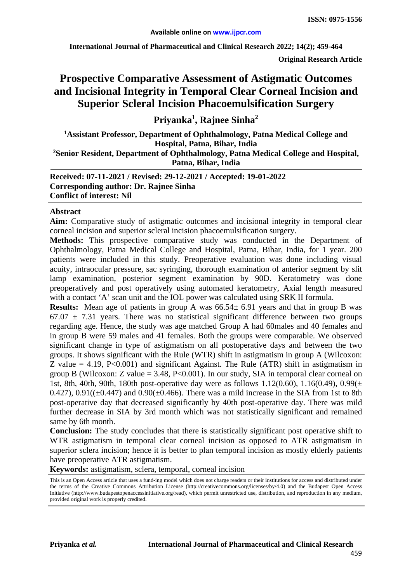**International Journal of Pharmaceutical and Clinical Research 2022; 14(2); 459-464**

**Original Research Article**

# **Prospective Comparative Assessment of Astigmatic Outcomes and Incisional Integrity in Temporal Clear Corneal Incision and Superior Scleral Incision Phacoemulsification Surgery**

**Priyanka1 , Rajnee Sinha2**

**1 Assistant Professor, Department of Ophthalmology, Patna Medical College and Hospital, Patna, Bihar, India 2Senior Resident, Department of Ophthalmology, Patna Medical College and Hospital, Patna, Bihar, India**

**Received: 07-11-2021 / Revised: 29-12-2021 / Accepted: 19-01-2022 Corresponding author: Dr. Rajnee Sinha Conflict of interest: Nil**

#### **Abstract**

**Aim:** Comparative study of astigmatic outcomes and incisional integrity in temporal clear corneal incision and superior scleral incision phacoemulsification surgery.

**Methods:** This prospective comparative study was conducted in the Department of Ophthalmology, Patna Medical College and Hospital, Patna, Bihar, India, for 1 year. 200 patients were included in this study. Preoperative evaluation was done including visual acuity, intraocular pressure, sac syringing, thorough examination of anterior segment by slit lamp examination, posterior segment examination by 90D. Keratometry was done preoperatively and post operatively using automated keratometry, Axial length measured with a contact 'A' scan unit and the IOL power was calculated using SRK II formula.

**Results:** Mean age of patients in group A was  $66.54 \pm 6.91$  years and that in group B was  $67.07 \pm 7.31$  years. There was no statistical significant difference between two groups regarding age. Hence, the study was age matched Group A had 60males and 40 females and in group B were 59 males and 41 females. Both the groups were comparable. We observed significant change in type of astigmatism on all postoperative days and between the two groups. It shows significant with the Rule (WTR) shift in astigmatism in group A (Wilcoxon: Z value  $= 4.19$ , P<0.001) and significant Against. The Rule (ATR) shift in astigmatism in group B (Wilcoxon: Z value  $= 3.48$ , P<0.001). In our study, SIA in temporal clear corneal on 1st, 8th, 40th, 90th, 180th post-operative day were as follows  $1.12(0.60)$ ,  $1.16(0.49)$ ,  $0.99(\pm$ 0.427),  $0.91((\pm 0.447)$  and  $0.90(\pm 0.466)$ . There was a mild increase in the SIA from 1st to 8th post-operative day that decreased significantly by 40th post-operative day. There was mild further decrease in SIA by 3rd month which was not statistically significant and remained same by 6th month.

**Conclusion:** The study concludes that there is statistically significant post operative shift to WTR astigmatism in temporal clear corneal incision as opposed to ATR astigmatism in superior sclera incision; hence it is better to plan temporal incision as mostly elderly patients have preoperative ATR astigmatism.

**Keywords:** astigmatism, sclera, temporal, corneal incision

This is an Open Access article that uses a fund-ing model which does not charge readers or their institutions for access and distributed under the terms of the Creative Commons Attribution License (http://creativecommons.org/licenses/by/4.0) and the Budapest Open Access Initiative (http://www.budapestopenaccessinitiative.org/read), which permit unrestricted use, distribution, and reproduction in any medium, provided original work is properly credited.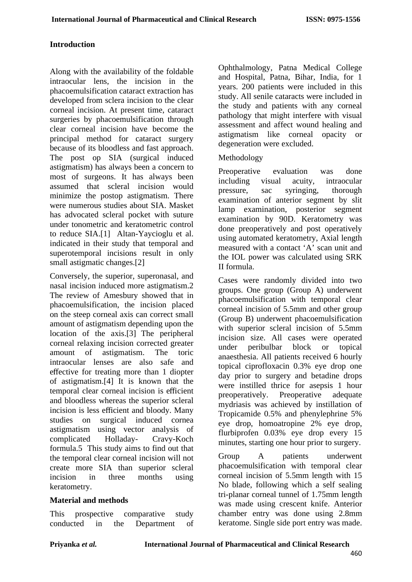#### **Introduction**

Along with the availability of the foldable intraocular lens, the incision in the phacoemulsification cataract extraction has developed from sclera incision to the clear corneal incision. At present time, cataract surgeries by phacoemulsification through clear corneal incision have become the principal method for cataract surgery because of its bloodless and fast approach. The post op SIA (surgical induced astigmatism) has always been a concern to most of surgeons. It has always been assumed that scleral incision would minimize the postop astigmatism. There were numerous studies about SIA. Masket has advocated scleral pocket with suture under tonometric and keratometric control to reduce SIA.[1] Altan-Yaycioglu et al. indicated in their study that temporal and superotemporal incisions result in only small astigmatic changes.[2]

Conversely, the superior, superonasal, and nasal incision induced more astigmatism.2 The review of Amesbury showed that in phacoemulsification, the incision placed on the steep corneal axis can correct small amount of astigmatism depending upon the location of the axis.[3] The peripheral corneal relaxing incision corrected greater amount of astigmatism. The toric intraocular lenses are also safe and effective for treating more than 1 diopter of astigmatism.[4] It is known that the temporal clear corneal incision is efficient and bloodless whereas the superior scleral incision is less efficient and bloody. Many<br>studies on surgical induced cornea surgical induced cornea astigmatism using vector analysis of complicated Holladay- Cravy-Koch formula.5 This study aims to find out that the temporal clear corneal incision will not create more SIA than superior scleral incision in three months using keratometry.

#### **Material and methods**

This prospective comparative study conducted in the Department of Ophthalmology, Patna Medical College and Hospital, Patna, Bihar, India, for 1 years. 200 patients were included in this study. All senile cataracts were included in the study and patients with any corneal pathology that might interfere with visual assessment and affect wound healing and astigmatism like corneal opacity or degeneration were excluded.

#### Methodology

Preoperative evaluation was done including visual acuity, intraocular pressure, sac syringing, thorough examination of anterior segment by slit lamp examination, posterior segment examination by 90D. Keratometry was done preoperatively and post operatively using automated keratometry, Axial length measured with a contact 'A' scan unit and the IOL power was calculated using SRK II formula.

Cases were randomly divided into two groups. One group (Group A) underwent phacoemulsification with temporal clear corneal incision of 5.5mm and other group (Group B) underwent phacoemulsification with superior scleral incision of 5.5mm incision size. All cases were operated under peribulbar block or topical anaesthesia. All patients received 6 hourly topical ciprofloxacin 0.3% eye drop one day prior to surgery and betadine drops were instilled thrice for asepsis 1 hour preoperatively. Preoperative adequate mydriasis was achieved by instillation of Tropicamide 0.5% and phenylephrine 5% eye drop, homoatropine 2% eye drop, flurbiprofen 0.03% eye drop every 15 minutes, starting one hour prior to surgery.

Group A patients underwent phacoemulsification with temporal clear corneal incision of 5.5mm length with 15 No blade, following which a self sealing tri-planar corneal tunnel of 1.75mm length was made using crescent knife. Anterior chamber entry was done using 2.8mm keratome. Single side port entry was made.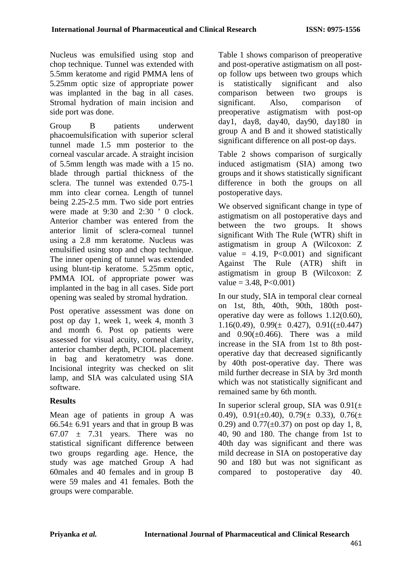Nucleus was emulsified using stop and chop technique. Tunnel was extended with 5.5mm keratome and rigid PMMA lens of 5.25mm optic size of appropriate power was implanted in the bag in all cases. Stromal hydration of main incision and side port was done.

Group B patients underwent phacoemulsification with superior scleral tunnel made 1.5 mm posterior to the corneal vascular arcade. A straight incision of 5.5mm length was made with a 15 no. blade through partial thickness of the sclera. The tunnel was extended 0.75-1 mm into clear cornea. Length of tunnel being 2.25-2.5 mm. Two side port entries were made at 9:30 and 2:30 ' 0 clock. Anterior chamber was entered from the anterior limit of sclera-corneal tunnel using a 2.8 mm keratome. Nucleus was emulsified using stop and chop technique. The inner opening of tunnel was extended using blunt-tip keratome. 5.25mm optic, PMMA IOL of appropriate power was implanted in the bag in all cases. Side port opening was sealed by stromal hydration.

Post operative assessment was done on post op day 1, week 1, week 4, month 3 and month 6. Post op patients were assessed for visual acuity, corneal clarity, anterior chamber depth, PCIOL placement in bag and keratometry was done. Incisional integrity was checked on slit lamp, and SIA was calculated using SIA software.

### **Results**

Mean age of patients in group A was  $66.54 \pm 6.91$  years and that in group B was  $67.07 \pm 7.31$  years. There was no statistical significant difference between two groups regarding age. Hence, the study was age matched Group A had 60males and 40 females and in group B were 59 males and 41 females. Both the groups were comparable.

Table 1 shows comparison of preoperative and post-operative astigmatism on all postop follow ups between two groups which is statistically significant and also comparison between two groups is significant. Also, comparison of preoperative astigmatism with post-op day1, day8, day40, day90, day180 in group A and B and it showed statistically significant difference on all post-op days.

Table 2 shows comparison of surgically induced astigmatism (SIA) among two groups and it shows statistically significant difference in both the groups on all postoperative days.

We observed significant change in type of astigmatism on all postoperative days and between the two groups. It shows significant With The Rule (WTR) shift in astigmatism in group A (Wilcoxon: Z value =  $4.19$ ,  $P<0.001$  and significant Against The Rule (ATR) shift in astigmatism in group B (Wilcoxon: Z  $value = 3.48, P<0.001$ 

In our study, SIA in temporal clear corneal on 1st, 8th, 40th, 90th, 180th postoperative day were as follows 1.12(0.60), 1.16(0.49),  $0.99(\pm 0.427)$ ,  $0.91((\pm 0.447)$ and  $0.90(\pm 0.466)$ . There was a mild increase in the SIA from 1st to 8th postoperative day that decreased significantly by 40th post-operative day. There was mild further decrease in SIA by 3rd month which was not statistically significant and remained same by 6th month.

In superior scleral group, SIA was  $0.91(\pm)$ 0.49),  $0.91(\pm 0.40)$ ,  $0.79(\pm 0.33)$ ,  $0.76(\pm 0.33)$ 0.29) and  $0.77(\pm 0.37)$  on post op day 1, 8, 40, 90 and 180. The change from 1st to 40th day was significant and there was mild decrease in SIA on postoperative day 90 and 180 but was not significant as compared to postoperative day 40.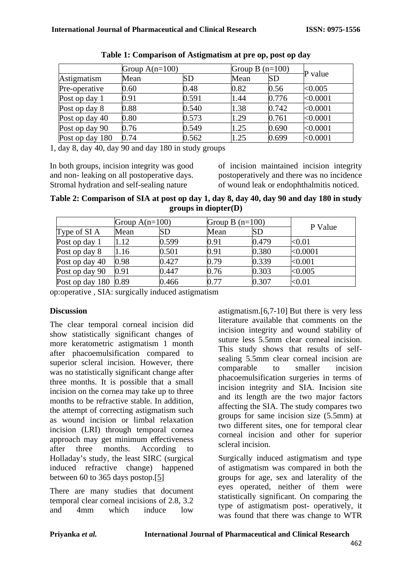|                 | Group $A(n=100)$ |           | Group B $(n=100)$ |           | P value  |
|-----------------|------------------|-----------|-------------------|-----------|----------|
| Astigmatism     | Mean             | <b>SD</b> | Mean              | <b>SD</b> |          |
| Pre-operative   | 0.60             | 0.48      | 0.82              | 0.56      | < 0.005  |
| Post op day 1   | 0.91             | 0.591     | 1.44              | 0.776     | < 0.0001 |
| Post op day 8   | 0.88             | 0.540     | 1.38              | 0.742     | < 0.0001 |
| Post op day 40  | 0.80             | 0.573     | 1.29              | 0.761     | < 0.0001 |
| Post op day 90  | 0.76             | 0.549     | 1.25              | 0.690     | < 0.0001 |
| Post op day 180 | 0.74             | 0.562     | 1.25              | 0.699     | < 0.0001 |

| Table 1: Comparison of Astigmatism at pre op, post op day |  |  |
|-----------------------------------------------------------|--|--|
|-----------------------------------------------------------|--|--|

1, day 8, day 40, day 90 and day 180 in study groups

In both groups, incision integrity was good and non- leaking on all postoperative days. Stromal hydration and self-sealing nature

of incision maintained incision integrity postoperatively and there was no incidence of wound leak or endophthalmitis noticed.

**Table 2: Comparison of SIA at post op day 1, day 8, day 40, day 90 and day 180 in study groups in diopter(D)**

|                        | Group $A(n=100)$ |           | Group B $(n=100)$ |           |           |
|------------------------|------------------|-----------|-------------------|-----------|-----------|
| Type of SI A           | Mean             | <b>SD</b> | Mean              | <b>SD</b> | P Value   |
| Post op day 1          | 1.12             | 0.599     | 0.91              | 0.479     | $0.01$    |
| Post op day 8          | 1.16             | 0.501     | 0.91              | 0.380     | < 0.0001  |
| Post op day 40         | 0.98             | 0.427     | 0.79              | 0.339     | < 0.001   |
| Post op day 90         | 0.91             | 0.447     | 0.76              | 0.303     | < 0.005   |
| Post op day $180$ 0.89 |                  | 0.466     | 0.77              | 0.307     | ${<}0.01$ |

op:operative , SIA: surgically induced astigmatism

### **Discussion**

The clear temporal corneal incision did show statistically significant changes of more keratometric astigmatism 1 month after phacoemulsification compared to superior scleral incision. However, there was no statistically significant change after three months. It is possible that a small incision on the cornea may take up to three months to be refractive stable. In addition, the attempt of correcting astigmatism such as wound incision or limbal relaxation incision (LRI) through temporal cornea approach may get minimum effectiveness<br>after three months. According to three months Holladay's study, the least SIRC (surgical induced refractive change) happened between 60 to 365 days postop.[\[5\]](#page-5-0)

There are many studies that document temporal clear corneal incisions of 2.8, 3.2 and 4mm which induce low

astigmatism.[6,7-10] But there is very less literature available that comments on the incision integrity and wound stability of suture less 5.5mm clear corneal incision. This study shows that results of selfsealing 5.5mm clear corneal incision are comparable to smaller incision phacoemulsification surgeries in terms of incision integrity and SIA. Incision site and its length are the two major factors affecting the SIA. The study compares two groups for same incision size (5.5mm) at two different sites, one for temporal clear corneal incision and other for superior scleral incision.

Surgically induced astigmatism and type of astigmatism was compared in both the groups for age, sex and laterality of the eyes operated, neither of them were statistically significant. On comparing the type of astigmatism post- operatively, it was found that there was change to WTR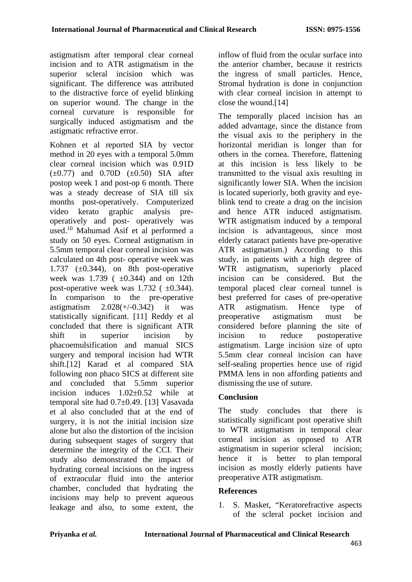astigmatism after temporal clear corneal incision and to ATR astigmatism in the superior scleral incision which was significant. The difference was attributed to the distractive force of eyelid blinking on superior wound. The change in the corneal curvature is responsible for surgically induced astigmatism and the astigmatic refractive error.

Kohnen et al reported SIA by vector method in 20 eyes with a temporal 5.0mm clear corneal incision which was 0.91D  $(\pm 0.77)$  and 0.70D  $(\pm 0.50)$  SIA after postop week 1 and post-op 6 month. There was a steady decrease of SIA till six months post-operatively. Computerized video kerato graphic analysis preoperatively and post- operatively was used.10 Mahumad Asif et al performed a study on 50 eyes. Corneal astigmatism in 5.5mm temporal clear corneal incision was calculated on 4th post- operative week was 1.737 ( $\pm$ 0.344), on 8th post-operative week was  $1.739$  ( $\pm 0.344$ ) and on 12th post-operative week was  $1.732$  ( $\pm 0.344$ ). In comparison to the pre-operative astigmatism  $2.028(+/-0.342)$  it was statistically significant. [11] Reddy et al concluded that there is significant ATR shift in superior incision by phacoemulsification and manual SICS surgery and temporal incision had WTR shift.[12] Karad et al compared SIA following non phaco SICS at different site and concluded that 5.5mm superior incision induces 1.02±0.52 while at temporal site had 0.7±0.49. [13] Vasavada et al also concluded that at the end of surgery, it is not the initial incision size alone but also the distortion of the incision during subsequent stages of surgery that determine the integrity of the CCI. Their study also demonstrated the impact of hydrating corneal incisions on the ingress of extraocular fluid into the anterior chamber, concluded that hydrating the incisions may help to prevent aqueous leakage and also, to some extent, the inflow of fluid from the ocular surface into the anterior chamber, because it restricts the ingress of small particles. Hence, Stromal hydration is done in conjunction with clear corneal incision in attempt to close the wound.[14]

The temporally placed incision has an added advantage, since the distance from the visual axis to the periphery in the horizontal meridian is longer than for others in the cornea. Therefore, flattening at this incision is less likely to be transmitted to the visual axis resulting in significantly lower SIA. When the incision is located superiorly, both gravity and eyeblink tend to create a drag on the incision and hence ATR induced astigmatism. WTR astigmatism induced by a temporal incision is advantageous, since most elderly cataract patients have pre-operative ATR astigmatism.) According to this study, in patients with a high degree of WTR astigmatism, superiorly placed incision can be considered. But the temporal placed clear corneal tunnel is best preferred for cases of pre-operative ATR astigmatism. Hence type of preoperative astigmatism must be considered before planning the site of incision to reduce postoperative astigmatism. Large incision size of upto 5.5mm clear corneal incision can have self-sealing properties hence use of rigid PMMA lens in non affording patients and dismissing the use of suture.

### **Conclusion**

The study concludes that there is statistically significant post operative shift to WTR astigmatism in temporal clear corneal incision as opposed to ATR astigmatism in superior scleral incision; hence it is better to plan temporal incision as mostly elderly patients have preoperative ATR astigmatism.

## **References**

1. S. Masket, "Keratorefractive aspects of the scleral pocket incision and